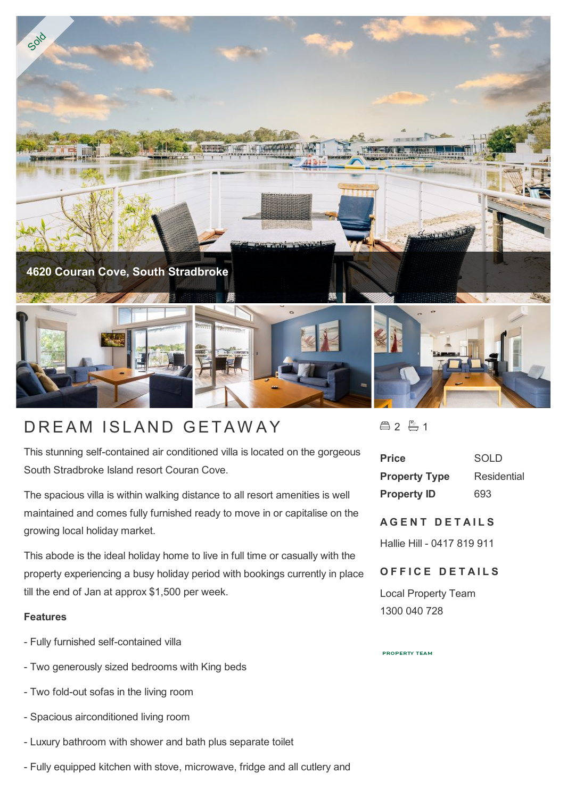

# DREAM ISLAND GETAWAY

This stunning self-contained air conditioned villa is located on the gorgeous South Stradbroke Island resort Couran Cove.

The spacious villa is within walking distance to all resort amenities is well maintained and comes fully furnished ready to move in or capitalise on the growing local holiday market.

This abode is the ideal holiday home to live in full time or casually with the property experiencing a busy holiday period with bookings currently in place till the end of Jan at approx \$1,500 per week.

## **Features**

- Fully furnished self-contained villa
- Two generously sized bedrooms with King beds
- Two fold-out sofas in the living room
- Spacious airconditioned living room
- Luxury bathroom with shower and bath plus separate toilet
- Fully equipped kitchen with stove, microwave, fridge and all cutlery and

合2 户1

| <b>Price</b>         | SOLD        |
|----------------------|-------------|
| <b>Property Type</b> | Residential |
| <b>Property ID</b>   | 693         |

## **AGENT DETAILS**

Hallie Hill - 0417 819 911

# **OFFICE DETAILS**

Local Property Team 1300 040 728

**PROPERTY TEAM**